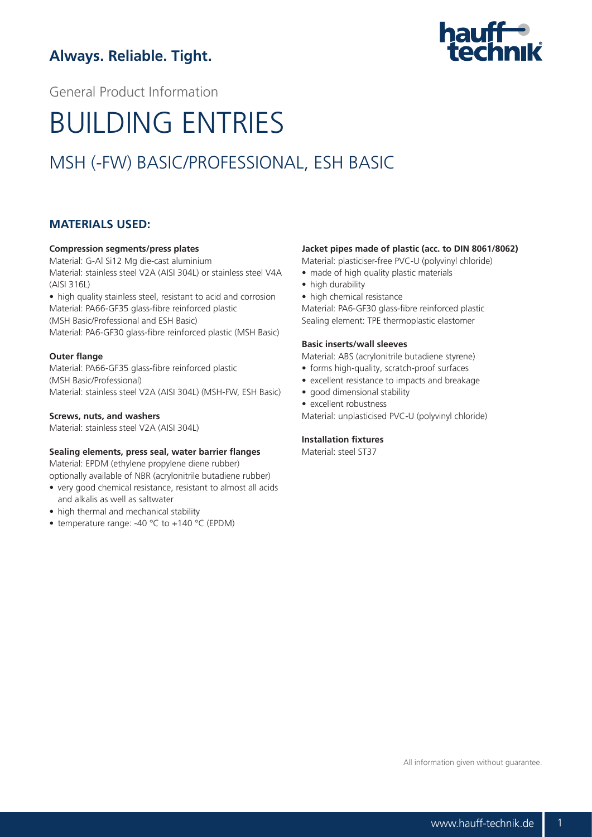# **Always. Reliable. Tight.**



General Product Information

# BUILDING ENTRIES

# MSH (-FW) BASIC/PROFESSIONAL, ESH BASIC

## **MATERIALS USED:**

#### **Compression segments/press plates**

Material: G-Al Si12 Mg die-cast aluminium Material: stainless steel V2A (AISI 304L) or stainless steel V4A (AISI 316L)

• high quality stainless steel, resistant to acid and corrosion Material: PA66-GF35 glass-fibre reinforced plastic (MSH Basic/Professional and ESH Basic)

Material: PA6-GF30 glass-fibre reinforced plastic (MSH Basic)

#### **Outer flange**

Material: PA66-GF35 glass-fibre reinforced plastic (MSH Basic/Professional) Material: stainless steel V2A (AISI 304L) (MSH-FW, ESH Basic)

#### **Screws, nuts, and washers**

Material: stainless steel V2A (AISI 304L)

#### **Sealing elements, press seal, water barrier flanges**

Material: EPDM (ethylene propylene diene rubber)

optionally available of NBR (acrylonitrile butadiene rubber)

- very good chemical resistance, resistant to almost all acids and alkalis as well as saltwater
- high thermal and mechanical stability
- temperature range: -40 °C to +140 °C (EPDM)

#### **Jacket pipes made of plastic (acc. to DIN 8061/8062)**

Material: plasticiser-free PVC-U (polyvinyl chloride)

- made of high quality plastic materials
- high durability
- high chemical resistance Material: PA6-GF30 glass-fibre reinforced plastic

Sealing element: TPE thermoplastic elastomer

#### **Basic inserts/wall sleeves**

Material: ABS (acrylonitrile butadiene styrene)

- forms high-quality, scratch-proof surfaces
- excellent resistance to impacts and breakage
- good dimensional stability
- excellent robustness

Material: unplasticised PVC-U (polyvinyl chloride)

#### **Installation fixtures**

Material: steel ST37

All information given without guarantee.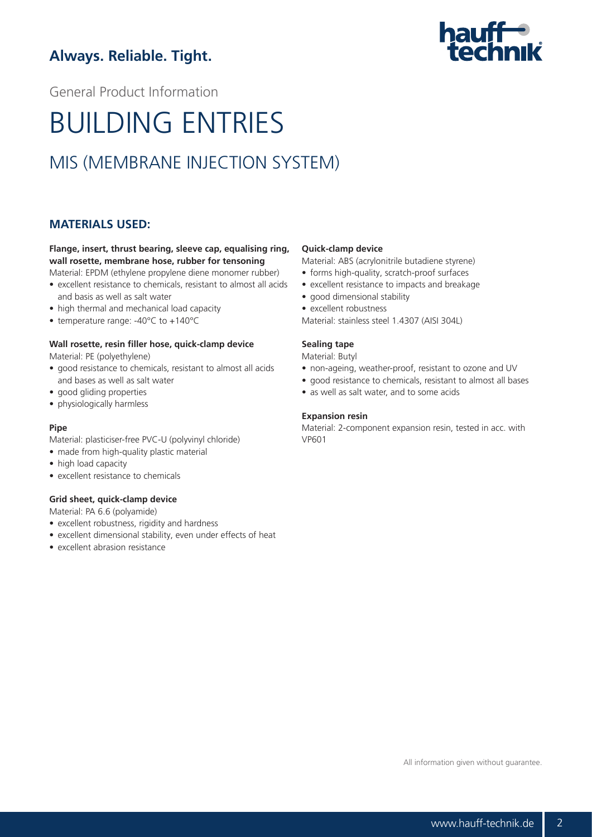# **Always. Reliable. Tight.**



General Product Information

# BUILDING ENTRIES

# MIS (MEMBRANE INJECTION SYSTEM)

## **MATERIALS USED:**

## **Flange, insert, thrust bearing, sleeve cap, equalising ring, wall rosette, membrane hose, rubber for tensoning**

- Material: EPDM (ethylene propylene diene monomer rubber) • excellent resistance to chemicals, resistant to almost all acids and basis as well as salt water
- high thermal and mechanical load capacity
- temperature range: -40°C to +140°C

### **Wall rosette, resin filler hose, quick-clamp device**

Material: PE (polyethylene)

- good resistance to chemicals, resistant to almost all acids and bases as well as salt water
- good gliding properties
- physiologically harmless

#### **Pipe**

Material: plasticiser-free PVC-U (polyvinyl chloride)

- made from high-quality plastic material
- high load capacity
- excellent resistance to chemicals

#### **Grid sheet, quick-clamp device**

Material: PA 6.6 (polyamide)

- excellent robustness, rigidity and hardness
- excellent dimensional stability, even under effects of heat
- excellent abrasion resistance

#### **Quick-clamp device**

Material: ABS (acrylonitrile butadiene styrene)

- forms high-quality, scratch-proof surfaces
- excellent resistance to impacts and breakage
- good dimensional stability
- excellent robustness

Material: stainless steel 1.4307 (AISI 304L)

#### **Sealing tape**

Material: Butyl

- non-ageing, weather-proof, resistant to ozone and UV
- good resistance to chemicals, resistant to almost all bases
- as well as salt water, and to some acids

#### **Expansion resin**

Material: 2-component expansion resin, tested in acc. with VP601

All information given without guarantee.